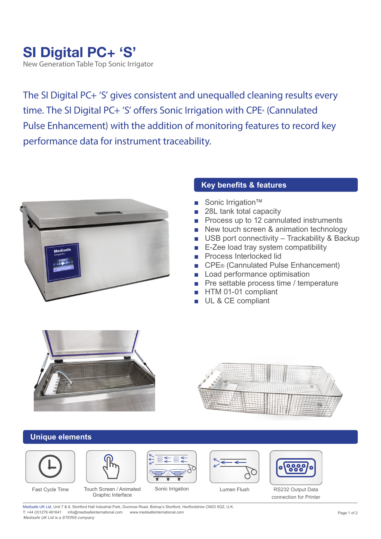## **SI Digital PC+ 'S'**

New Generation Table Top Sonic Irrigator

The SI Digital PC+ 'S' gives consistent and unequalled cleaning results every time. The SI Digital PC+ 'S' offers Sonic Irrigation with CPE® (Cannulated Pulse Enhancement) with the addition of monitoring features to record key performance data for instrument traceability.



## **Key benefits & features**

- Sonic Irrigation<sup>™</sup>
- 28L tank total capacity
- Process up to 12 cannulated instruments
- New touch screen & animation technology
- USB port connectivity Trackability & Backup
- E-Zee load tray system compatibility
- Process Interlocked lid
- CPE® (Cannulated Pulse Enhancement)
- Load performance optimisation
- Pre settable process time / temperature
- HTM 01-01 compliant
- UL & CE compliant





## **Unique elements**





Fast Cycle Time Touch Screen / Animated Sonic Irrigation Cumen Flush Graphic Interface







RS232 Output Data connection for Printer

Medisafe UK Ltd, Unit 7 & 8, Stortford Hall Industrial Park, Dunmow Road, Bishop's Stortford, Hertfordshire CM23 5GZ, U.K. T: +44 (0)1279 461641 info@medisafeinternational.com www.medisafeinternational.com *Medisafe UK Ltd is a STERIS company*